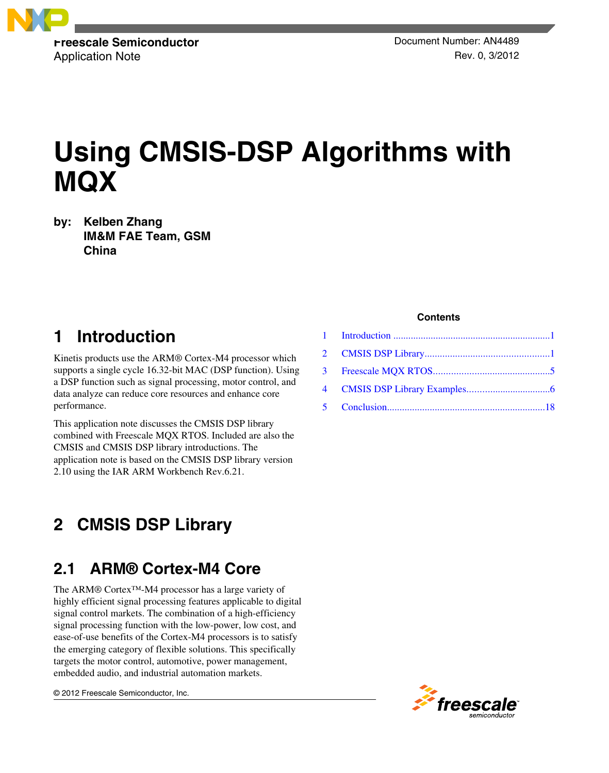

Application Note **Rev. 0, 3/2012** 

# **Using CMSIS-DSP Algorithms with MQX**

**by: Kelben Zhang IM&M FAE Team, GSM China**

### **1 Introduction**

Kinetis products use the ARM® Cortex-M4 processor which supports a single cycle 16.32-bit MAC (DSP function). Using a DSP function such as signal processing, motor control, and data analyze can reduce core resources and enhance core performance.

This application note discusses the CMSIS DSP library combined with Freescale MQX RTOS. Included are also the CMSIS and CMSIS DSP library introductions. The application note is based on the CMSIS DSP library version 2.10 using the IAR ARM Workbench Rev.6.21.

#### **CMSIS DSP Library 2**

### **2.1 ARM® Cortex-M4 Core**

The ARM® Cortex™-M4 processor has a large variety of highly efficient signal processing features applicable to digital signal control markets. The combination of a high-efficiency signal processing function with the low-power, low cost, and ease-of-use benefits of the Cortex-M4 processors is to satisfy the emerging category of flexible solutions. This specifically targets the motor control, automotive, power management, embedded audio, and industrial automation markets.

© 2012 Freescale Semiconductor, Inc.

#### **Contents**

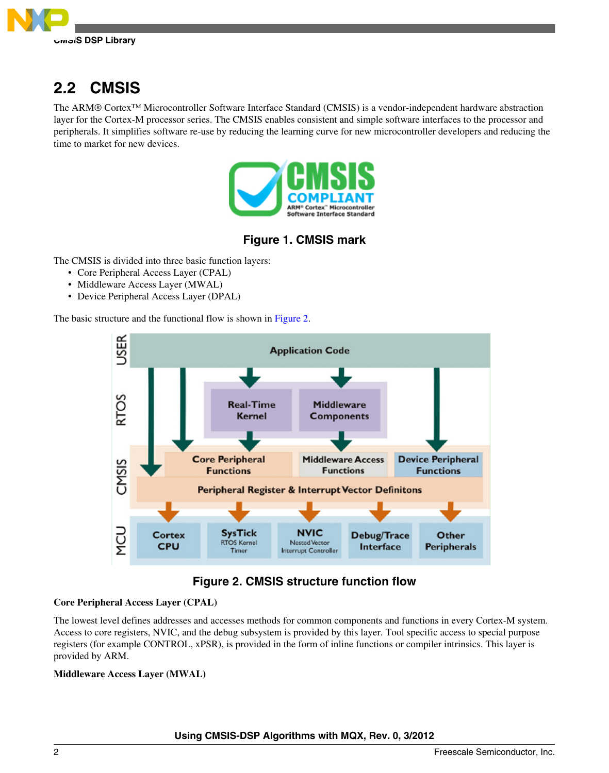

# **2.2 CMSIS**

The ARM® Cortex™ Microcontroller Software Interface Standard (CMSIS) is a vendor-independent hardware abstraction layer for the Cortex-M processor series. The CMSIS enables consistent and simple software interfaces to the processor and peripherals. It simplifies software re-use by reducing the learning curve for new microcontroller developers and reducing the time to market for new devices.



### **Figure 1. CMSIS mark**

The CMSIS is divided into three basic function layers:

- Core Peripheral Access Layer (CPAL)
- Middleware Access Layer (MWAL)
- Device Peripheral Access Layer (DPAL)

The basic structure and the functional flow is shown in Figure 2.



### **Figure 2. CMSIS structure function flow**

#### **Core Peripheral Access Layer (CPAL)**

The lowest level defines addresses and accesses methods for common components and functions in every Cortex-M system. Access to core registers, NVIC, and the debug subsystem is provided by this layer. Tool specific access to special purpose registers (for example CONTROL, xPSR), is provided in the form of inline functions or compiler intrinsics. This layer is provided by ARM.

#### **Middleware Access Layer (MWAL)**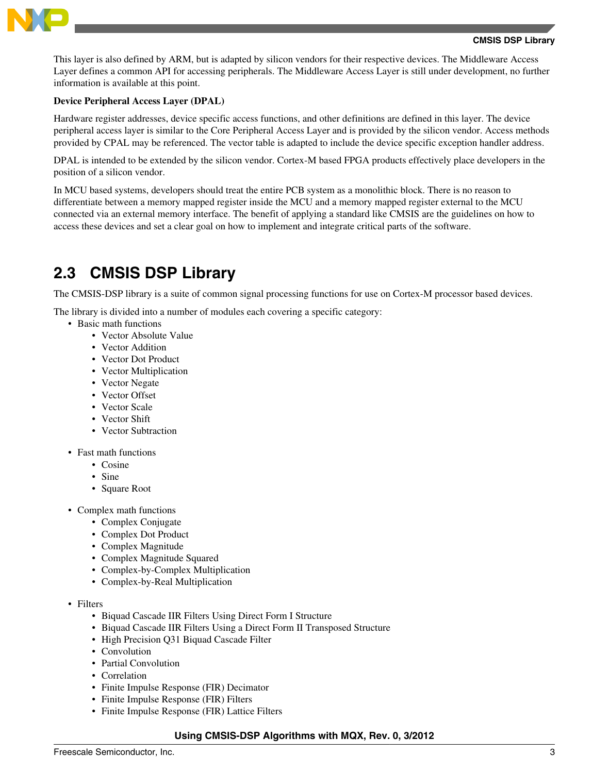

This layer is also defined by ARM, but is adapted by silicon vendors for their respective devices. The Middleware Access Layer defines a common API for accessing peripherals. The Middleware Access Layer is still under development, no further information is available at this point.

#### **Device Peripheral Access Layer (DPAL)**

Hardware register addresses, device specific access functions, and other definitions are defined in this layer. The device peripheral access layer is similar to the Core Peripheral Access Layer and is provided by the silicon vendor. Access methods provided by CPAL may be referenced. The vector table is adapted to include the device specific exception handler address.

DPAL is intended to be extended by the silicon vendor. Cortex-M based FPGA products effectively place developers in the position of a silicon vendor.

In MCU based systems, developers should treat the entire PCB system as a monolithic block. There is no reason to differentiate between a memory mapped register inside the MCU and a memory mapped register external to the MCU connected via an external memory interface. The benefit of applying a standard like CMSIS are the guidelines on how to access these devices and set a clear goal on how to implement and integrate critical parts of the software.

### **2.3 CMSIS DSP Library**

The CMSIS-DSP library is a suite of common signal processing functions for use on Cortex-M processor based devices.

The library is divided into a number of modules each covering a specific category:

- Basic math functions
	- Vector Absolute Value
	- Vector Addition
	- Vector Dot Product
	- Vector Multiplication
	- Vector Negate
	- Vector Offset
	- Vector Scale
	- Vector Shift
	- Vector Subtraction
- Fast math functions
	- Cosine
	- Sine
	- Square Root
- Complex math functions
	- Complex Conjugate
	- Complex Dot Product
	- Complex Magnitude
	- Complex Magnitude Squared
	- Complex-by-Complex Multiplication
	- Complex-by-Real Multiplication
- Filters
	- Biquad Cascade IIR Filters Using Direct Form I Structure
	- Biquad Cascade IIR Filters Using a Direct Form II Transposed Structure
	- High Precision Q31 Biquad Cascade Filter
	- Convolution
	- Partial Convolution
	- Correlation
	- Finite Impulse Response (FIR) Decimator
	- Finite Impulse Response (FIR) Filters
	- Finite Impulse Response (FIR) Lattice Filters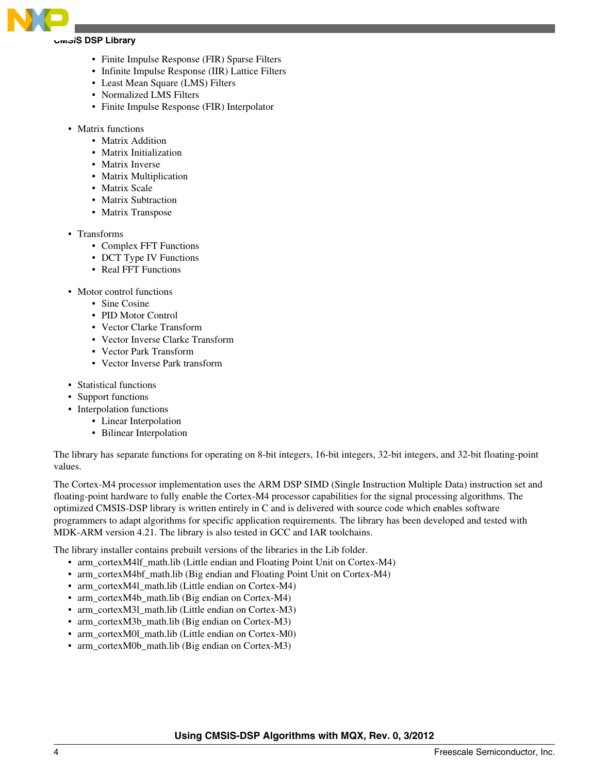

#### **CMSIS DSP Library**

- Finite Impulse Response (FIR) Sparse Filters
- Infinite Impulse Response (IIR) Lattice Filters
- Least Mean Square (LMS) Filters
- Normalized LMS Filters
- Finite Impulse Response (FIR) Interpolator
- Matrix functions
	- Matrix Addition
	- Matrix Initialization
	- Matrix Inverse
	- Matrix Multiplication
	- Matrix Scale
	- Matrix Subtraction
	- Matrix Transpose
- Transforms
	- Complex FFT Functions
	- DCT Type IV Functions
	- Real FFT Functions
- Motor control functions
	- Sine Cosine
	- PID Motor Control
	- Vector Clarke Transform
	- Vector Inverse Clarke Transform
	- Vector Park Transform
	- Vector Inverse Park transform
- Statistical functions
- Support functions
- Interpolation functions
	- Linear Interpolation
	- Bilinear Interpolation

The library has separate functions for operating on 8-bit integers, 16-bit integers, 32-bit integers, and 32-bit floating-point values.

The Cortex-M4 processor implementation uses the ARM DSP SIMD (Single Instruction Multiple Data) instruction set and floating-point hardware to fully enable the Cortex-M4 processor capabilities for the signal processing algorithms. The optimized CMSIS-DSP library is written entirely in C and is delivered with source code which enables software programmers to adapt algorithms for specific application requirements. The library has been developed and tested with MDK-ARM version 4.21. The library is also tested in GCC and IAR toolchains.

The library installer contains prebuilt versions of the libraries in the Lib folder.

- arm\_cortexM4lf\_math.lib (Little endian and Floating Point Unit on Cortex-M4)
- arm\_cortexM4bf\_math.lib (Big endian and Floating Point Unit on Cortex-M4)
- arm\_cortexM4l\_math.lib (Little endian on Cortex-M4)
- arm\_cortexM4b\_math.lib (Big endian on Cortex-M4)
- arm\_cortexM3l\_math.lib (Little endian on Cortex-M3)
- arm\_cortexM3b\_math.lib (Big endian on Cortex-M3)
- arm\_cortexM0l\_math.lib (Little endian on Cortex-M0)
- arm\_cortexM0b\_math.lib (Big endian on Cortex-M3)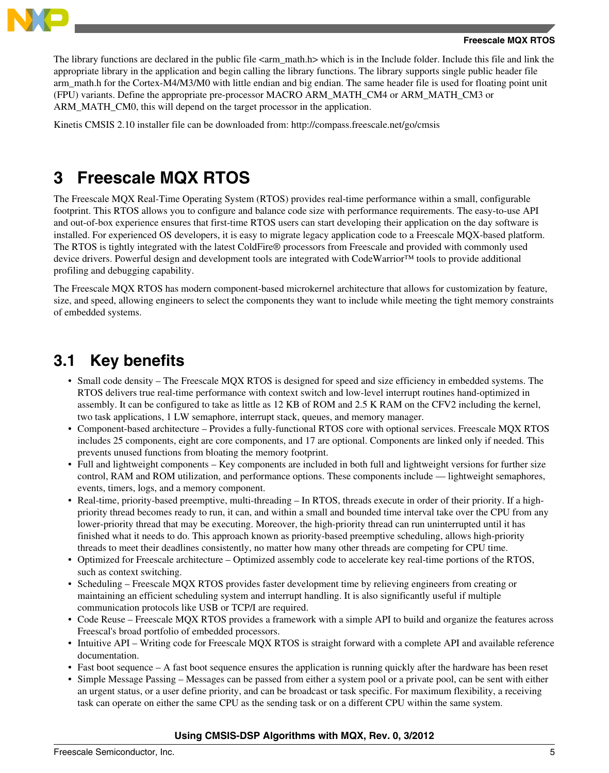<span id="page-4-0"></span>

#### **Freescale MQX RTOS**

The library functions are declared in the public file  $\langle \text{arm\_mathh>} \rangle$  which is in the Include folder. Include this file and link the appropriate library in the application and begin calling the library functions. The library supports single public header file arm\_math.h for the Cortex-M4/M3/M0 with little endian and big endian. The same header file is used for floating point unit (FPU) variants. Define the appropriate pre-processor MACRO ARM\_MATH\_CM4 or ARM\_MATH\_CM3 or ARM\_MATH\_CM0, this will depend on the target processor in the application.

Kinetis CMSIS 2.10 installer file can be downloaded from: http://compass.freescale.net/go/cmsis

# **3 Freescale MQX RTOS**

The Freescale MQX Real-Time Operating System (RTOS) provides real-time performance within a small, configurable footprint. This RTOS allows you to configure and balance code size with performance requirements. The easy-to-use API and out-of-box experience ensures that first-time RTOS users can start developing their application on the day software is installed. For experienced OS developers, it is easy to migrate legacy application code to a Freescale MQX-based platform. The RTOS is tightly integrated with the latest ColdFire® processors from Freescale and provided with commonly used device drivers. Powerful design and development tools are integrated with CodeWarrior™ tools to provide additional profiling and debugging capability.

The Freescale MQX RTOS has modern component-based microkernel architecture that allows for customization by feature, size, and speed, allowing engineers to select the components they want to include while meeting the tight memory constraints of embedded systems.

### **3.1 Key benefits**

- Small code density The Freescale MQX RTOS is designed for speed and size efficiency in embedded systems. The RTOS delivers true real-time performance with context switch and low-level interrupt routines hand-optimized in assembly. It can be configured to take as little as 12 KB of ROM and 2.5 K RAM on the CFV2 including the kernel, two task applications, 1 LW semaphore, interrupt stack, queues, and memory manager.
- Component-based architecture Provides a fully-functional RTOS core with optional services. Freescale MQX RTOS includes 25 components, eight are core components, and 17 are optional. Components are linked only if needed. This prevents unused functions from bloating the memory footprint.
- Full and lightweight components Key components are included in both full and lightweight versions for further size control, RAM and ROM utilization, and performance options. These components include — lightweight semaphores, events, timers, logs, and a memory component.
- Real-time, priority-based preemptive, multi-threading In RTOS, threads execute in order of their priority. If a highpriority thread becomes ready to run, it can, and within a small and bounded time interval take over the CPU from any lower-priority thread that may be executing. Moreover, the high-priority thread can run uninterrupted until it has finished what it needs to do. This approach known as priority-based preemptive scheduling, allows high-priority threads to meet their deadlines consistently, no matter how many other threads are competing for CPU time.
- Optimized for Freescale architecture Optimized assembly code to accelerate key real-time portions of the RTOS, such as context switching.
- Scheduling Freescale MQX RTOS provides faster development time by relieving engineers from creating or maintaining an efficient scheduling system and interrupt handling. It is also significantly useful if multiple communication protocols like USB or TCP/I are required.
- Code Reuse Freescale MQX RTOS provides a framework with a simple API to build and organize the features across Freescal's broad portfolio of embedded processors.
- Intuitive API Writing code for Freescale MQX RTOS is straight forward with a complete API and available reference documentation.
- Fast boot sequence A fast boot sequence ensures the application is running quickly after the hardware has been reset
- Simple Message Passing Messages can be passed from either a system pool or a private pool, can be sent with either an urgent status, or a user define priority, and can be broadcast or task specific. For maximum flexibility, a receiving task can operate on either the same CPU as the sending task or on a different CPU within the same system.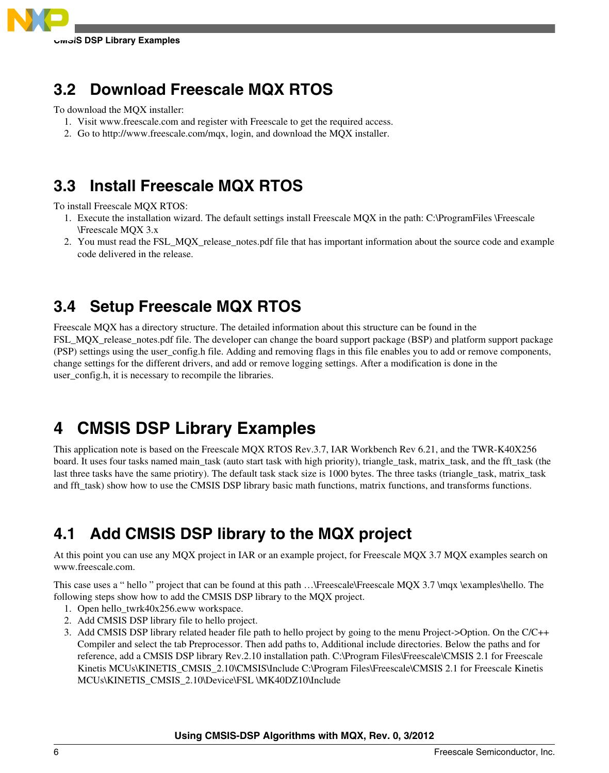<span id="page-5-0"></span>

# **3.2 Download Freescale MQX RTOS**

To download the MQX installer:

- 1. Visit www.freescale.com and register with Freescale to get the required access.
- 2. Go to http://www.freescale.com/mqx, login, and download the MQX installer.

### **3.3 Install Freescale MQX RTOS**

To install Freescale MQX RTOS:

- 1. Execute the installation wizard. The default settings install Freescale MQX in the path: C:\ProgramFiles \Freescale \Freescale MQX 3.x
- 2. You must read the FSL\_MQX\_release\_notes.pdf file that has important information about the source code and example code delivered in the release.

# **3.4 Setup Freescale MQX RTOS**

Freescale MQX has a directory structure. The detailed information about this structure can be found in the FSL\_MQX\_release\_notes.pdf file. The developer can change the board support package (BSP) and platform support package (PSP) settings using the user\_config.h file. Adding and removing flags in this file enables you to add or remove components, change settings for the different drivers, and add or remove logging settings. After a modification is done in the user config.h, it is necessary to recompile the libraries.

# **4 CMSIS DSP Library Examples**

This application note is based on the Freescale MQX RTOS Rev.3.7, IAR Workbench Rev 6.21, and the TWR-K40X256 board. It uses four tasks named main\_task (auto start task with high priority), triangle\_task, matrix\_task, and the fft\_task (the last three tasks have the same priotiry). The default task stack size is 1000 bytes. The three tasks (triangle\_task, matrix\_task and fft\_task) show how to use the CMSIS DSP library basic math functions, matrix functions, and transforms functions.

# **4.1 Add CMSIS DSP library to the MQX project**

At this point you can use any MQX project in IAR or an example project, for Freescale MQX 3.7 MQX examples search on www.freescale.com.

This case uses a " hello " project that can be found at this path ... Freescale\Freescale MQX 3.7 \mqx \examples\hello. The following steps show how to add the CMSIS DSP library to the MQX project.

- 1. Open hello\_twrk40x256.eww workspace.
- 2. Add CMSIS DSP library file to hello project.
- 3. Add CMSIS DSP library related header file path to hello project by going to the menu Project->Option. On the C/C++ Compiler and select the tab Preprocessor. Then add paths to, Additional include directories. Below the paths and for reference, add a CMSIS DSP library Rev.2.10 installation path. C:\Program Files\Freescale\CMSIS 2.1 for Freescale Kinetis MCUs\KINETIS\_CMSIS\_2.10\CMSIS\Include C:\Program Files\Freescale\CMSIS 2.1 for Freescale Kinetis MCUs\KINETIS\_CMSIS\_2.10\Device\FSL \MK40DZ10\Include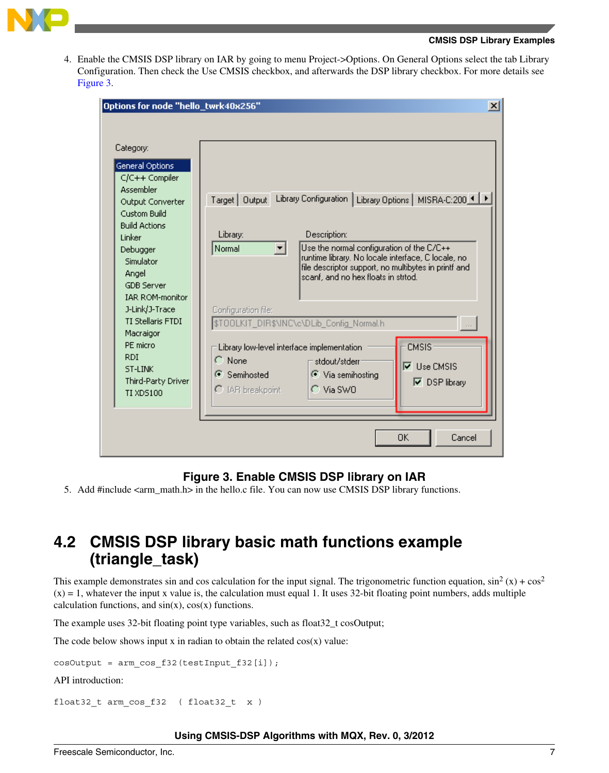

4. Enable the CMSIS DSP library on IAR by going to menu Project->Options. On General Options select the tab Library Configuration. Then check the Use CMSIS checkbox, and afterwards the DSP library checkbox. For more details see Figure 3.

| Options for node "hello_twrk40x256"                                                                                                                                                                                                                                                                                                                          |                                                                                                                                                                                                                                                                                                                                                                                                                                                                                                                                                                                                                           | $\vert x \vert$ |
|--------------------------------------------------------------------------------------------------------------------------------------------------------------------------------------------------------------------------------------------------------------------------------------------------------------------------------------------------------------|---------------------------------------------------------------------------------------------------------------------------------------------------------------------------------------------------------------------------------------------------------------------------------------------------------------------------------------------------------------------------------------------------------------------------------------------------------------------------------------------------------------------------------------------------------------------------------------------------------------------------|-----------------|
| Category:<br>General Options<br>C/C++ Compiler<br><b>Assembler</b><br>Output Converter<br>Custom Build<br><b>Build Actions</b><br>Linker<br>Debugger<br>Simulator<br>Angel<br><b>GDB</b> Server<br><b>IAR ROM-monitor</b><br>J-Link/J-Trace<br><b>TI Stellaris FTDI</b><br>Macraigor<br>PE micro<br><b>RDI</b><br>ST-LINK<br>Third-Party Driver<br>TI XD5100 | Target   Output Library Configuration   Library Options   MISRA-C:200 4   1<br>Description:<br>Library:<br>Use the normal configuration of the C/C++<br>Normal<br>runtime library. No locale interface, C locale, no<br>file descriptor support, no multibytes in printf and<br>scanf, and no hex floats in strtod.<br>Configuration file:<br>\$TOOLKIT_DIR\$\INC\c\DLib_Config_Normal.h<br><b>CMSIS</b><br>Library low-level interface implementation<br>$\subset$ None<br>stdout/stderr<br>$\nabla$ Use CMSIS<br>← Via semihosting<br>G Semihosted<br>$\nabla$ DSP library<br>$\cap$ Via SWO<br>$\Gamma$ IAR breakpoint |                 |
|                                                                                                                                                                                                                                                                                                                                                              | OΚ<br>Cancel                                                                                                                                                                                                                                                                                                                                                                                                                                                                                                                                                                                                              |                 |

### **Figure 3. Enable CMSIS DSP library on IAR**

5. Add #include <arm\_math.h> in the hello.c file. You can now use CMSIS DSP library functions.

### **4.2 CMSIS DSP library basic math functions example (triangle\_task)**

This example demonstrates sin and cos calculation for the input signal. The trigonometric function equation,  $\sin^2(x) + \cos^2(x)$  $(x) = 1$ , whatever the input x value is, the calculation must equal 1. It uses 32-bit floating point numbers, adds multiple calculation functions, and  $sin(x)$ ,  $cos(x)$  functions.

The example uses 32-bit floating point type variables, such as float 32\_t cosOutput;

The code below shows input x in radian to obtain the related  $cos(x)$  value:

cosOutput = arm\_cos\_f32(testInput\_f32[i]);

API introduction:

float32 t arm cos f32 ( float32 t x )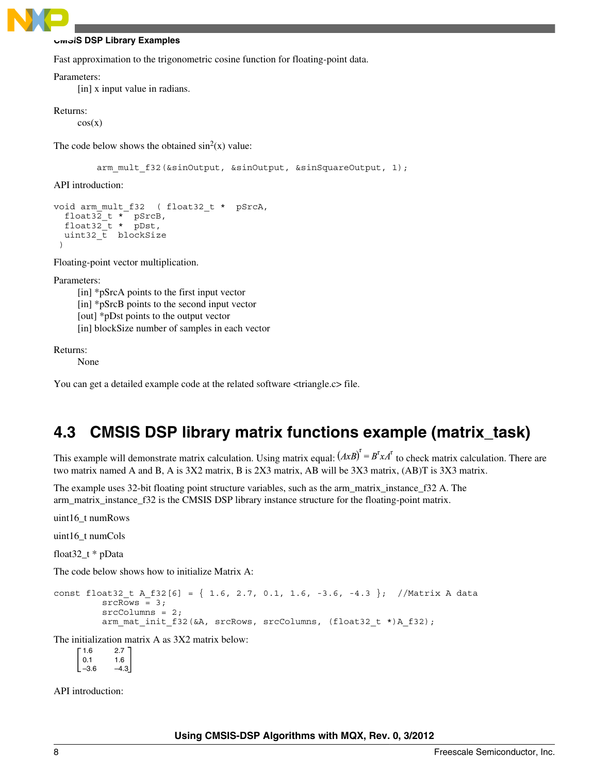

Fast approximation to the trigonometric cosine function for floating-point data.

#### Parameters:

[in] x input value in radians.

#### Returns:

 $cos(x)$ 

The code below shows the obtained  $sin^2(x)$  value:

arm\_mult\_f32(&sinOutput, &sinOutput, &sinSquareOutput, 1);

API introduction:

```
void arm_mult_f32 ( float32_t * pSrcA, 
 float32_t * pSrcB, 
 float32_t * pDst, 
 uint32_t blockSize
 )
```
Floating-point vector multiplication.

Parameters:

[in] \*pSrcA points to the first input vector [in] \*pSrcB points to the second input vector [out] \*pDst points to the output vector [in] blockSize number of samples in each vector

Returns:

None

You can get a detailed example code at the related software  $\langle$ triangle.c> file.

### **4.3 CMSIS DSP library matrix functions example (matrix\_task)**

This example will demonstrate matrix calculation. Using matrix equal:  $(AxB)^{t} = B^{t} x A^{t}$  to check matrix calculation. There are two matrix named A and B, A is 3X2 matrix, B is 2X3 matrix, AB will be 3X3 matrix, (AB)T is 3X3 matrix.

The example uses 32-bit floating point structure variables, such as the arm\_matrix\_instance\_f32 A. The arm\_matrix\_instance\_f32 is the CMSIS DSP library instance structure for the floating-point matrix.

uint16\_t numRows

uint16\_t numCols

float32\_t \* pData

The code below shows how to initialize Matrix A:

```
const float32 t A f32[6] = { 1.6, 2.7, 0.1, 1.6, -3.6, -4.3 }; //Matrix A data
         srcRows = 3; srcColumns = 2; 
         arm_mat_init_f32(&A, srcRows, srcColumns, (float32_t *)A_f32);
```
The initialization matrix A as 3X2 matrix below:

1.6 2.7  $\begin{array}{ccc} 0.1 & 1.6 \\ -3.6 & -4.9 \end{array}$  $-4.3$ 

API introduction: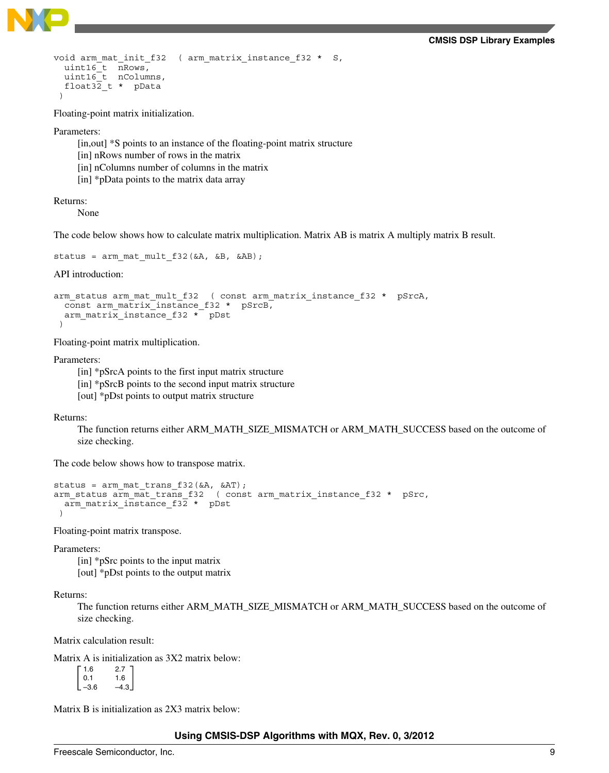

```
void arm mat init f32 ( arm matrix instance f32 * S,
 uint16_t nRows, 
 uint16_t nColumns, 
  float32_t * pData 
 )
```
Floating-point matrix initialization.

Parameters:

[in,out] \*S points to an instance of the floating-point matrix structure [in] nRows number of rows in the matrix

[in] nColumns number of columns in the matrix

[in] \*pData points to the matrix data array

Returns:

None

The code below shows how to calculate matrix multiplication. Matrix AB is matrix A multiply matrix B result.

```
status = arm_mat_mult_f32(&A, &B, &AB);
```
API introduction:

```
arm status arm mat mult f32 ( const arm matrix instance f32 * pSrcA,
  const arm_matrix_instance_f32 * pSrcB, 
  arm matrix instance f32 * pDst
 )
```
Floating-point matrix multiplication.

Parameters:

[in] \*pSrcA points to the first input matrix structure [in] \*pSrcB points to the second input matrix structure [out] \*pDst points to output matrix structure

Returns:

The function returns either ARM\_MATH\_SIZE\_MISMATCH or ARM\_MATH\_SUCCESS based on the outcome of size checking.

The code below shows how to transpose matrix.

```
status = arm_mat_trans_f32(&A, &AT);
arm status arm mat trans f32 ( const arm matrix instance f32 * pSrc,
  arm matrix instance f32 * pDst
 )
```
Floating-point matrix transpose.

Parameters:

[in] \*pSrc points to the input matrix [out] \*pDst points to the output matrix

#### Returns:

The function returns either ARM\_MATH\_SIZE\_MISMATCH or ARM\_MATH\_SUCCESS based on the outcome of size checking.

Matrix calculation result:

Matrix A is initialization as 3X2 matrix below:

| 2.7    |
|--------|
| 1.6    |
| $-4.3$ |
|        |

Matrix B is initialization as 2X3 matrix below: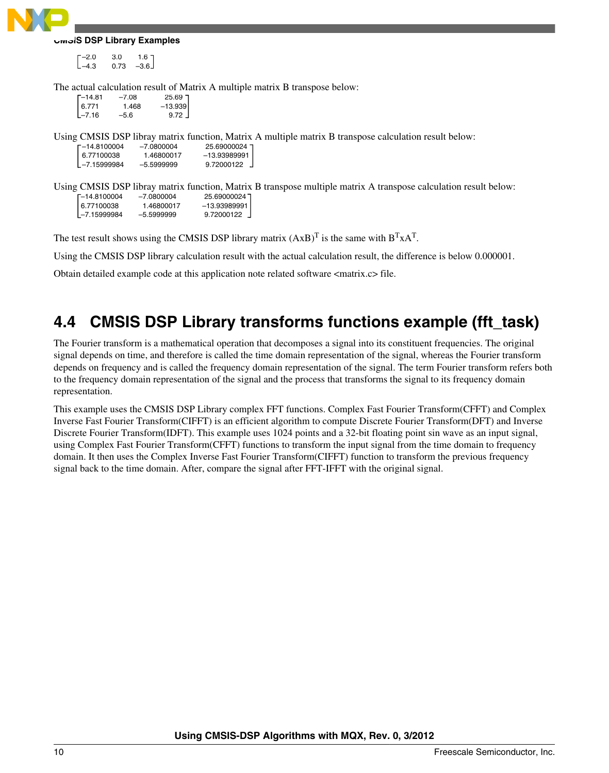

 $-2.0$  3.0 1.6  $-4.3$  0.73  $-3.6$  $[-4.3 \ 0.73 \ -3.6]$ 

The actual calculation result of Matrix A multiple matrix B transpose below:

| $\lceil -14.81 \rceil$ | $-7.08$ |                    |
|------------------------|---------|--------------------|
| 6.771                  | 1.468   | 25.69<br> 13.939 – |
| $L - 7.16$             | $-5.6$  | 9.72               |

Using CMSIS DSP libray matrix function, Matrix A multiple matrix B transpose calculation result below:

| F-14.8100004     | -7.0800004 | 25.69000024    |
|------------------|------------|----------------|
| 6.77100038       | 1.46800017 | $-13.93989991$ |
| $L - 7.15999984$ | -5.5999999 | 9.72000122     |

Using CMSIS DSP libray matrix function, Matrix B transpose multiple matrix A transpose calculation result below:<br>  $\begin{array}{r} 5.6900004 \ -7.0800004 \end{array}$  25.69000024 ] –14.8100004 –7.0800004 25.69000024 6.77100038 1.46800017 –13.93989991  $-7.15999984$ 

The test result shows using the CMSIS DSP library matrix  $(AxB)^T$  is the same with  $B^TxA^T$ .

Using the CMSIS DSP library calculation result with the actual calculation result, the difference is below 0.000001.

Obtain detailed example code at this application note related software <matrix.c> file.

# **4.4 CMSIS DSP Library transforms functions example (fft\_task)**

The Fourier transform is a mathematical operation that decomposes a signal into its constituent frequencies. The original signal depends on time, and therefore is called the time domain representation of the signal, whereas the Fourier transform depends on frequency and is called the frequency domain representation of the signal. The term Fourier transform refers both to the frequency domain representation of the signal and the process that transforms the signal to its frequency domain representation.

This example uses the CMSIS DSP Library complex FFT functions. Complex Fast Fourier Transform(CFFT) and Complex Inverse Fast Fourier Transform(CIFFT) is an efficient algorithm to compute Discrete Fourier Transform(DFT) and Inverse Discrete Fourier Transform(IDFT). This example uses 1024 points and a 32-bit floating point sin wave as an input signal, using Complex Fast Fourier Transform(CFFT) functions to transform the input signal from the time domain to frequency domain. It then uses the Complex Inverse Fast Fourier Transform(CIFFT) function to transform the previous frequency signal back to the time domain. After, compare the signal after FFT-IFFT with the original signal.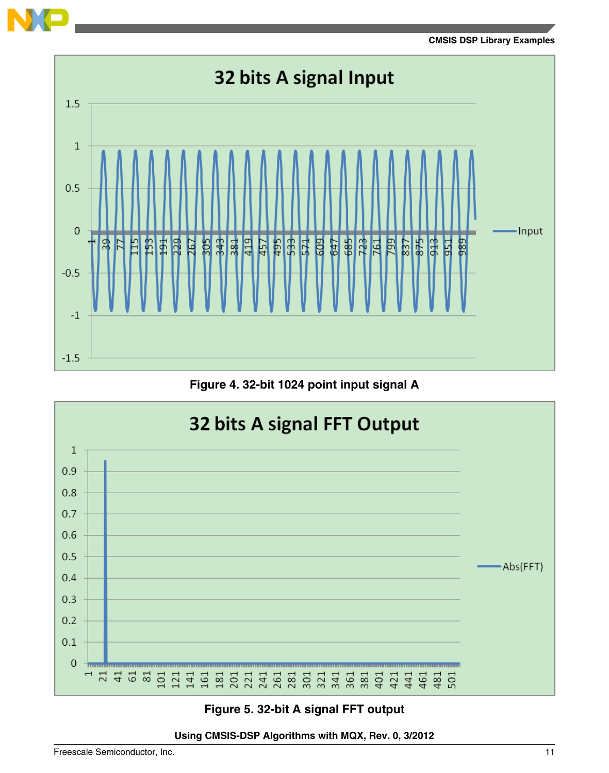



**Figure 4. 32-bit 1024 point input signal A**



**Figure 5. 32-bit A signal FFT output**

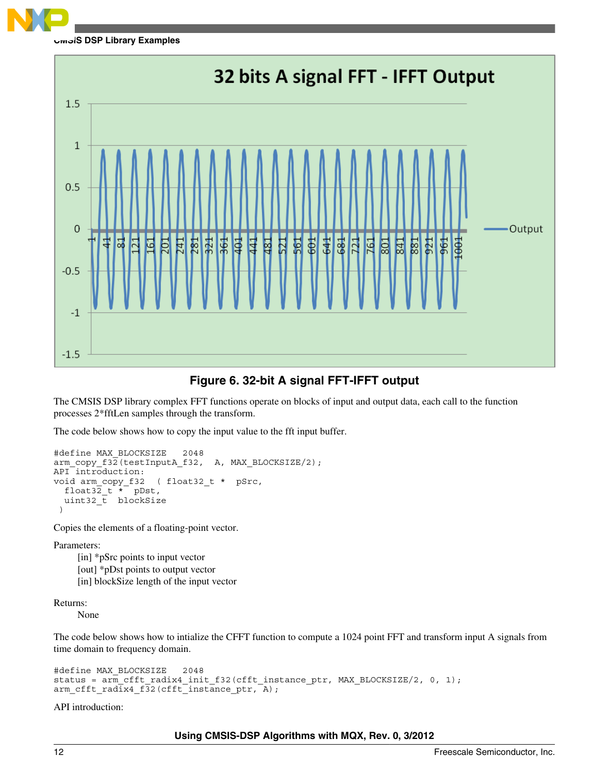



### **Figure 6. 32-bit A signal FFT-IFFT output**

The CMSIS DSP library complex FFT functions operate on blocks of input and output data, each call to the function processes 2\*fftLen samples through the transform.

The code below shows how to copy the input value to the fft input buffer.

```
#define MAX_BLOCKSIZE 2048
arm_copy_f32(testInputA_f32, A, MAX_BLOCKSIZE/2);
API introduction:
void arm_copy_f32 ( float32_t * pSrc, 
  float32t \times 7 pDst,
  uint32 t blockSize
 )
```
Copies the elements of a floating-point vector.

Parameters:

[in] \*pSrc points to input vector [out] \*pDst points to output vector [in] blockSize length of the input vector

Returns:

None

The code below shows how to intialize the CFFT function to compute a 1024 point FFT and transform input A signals from time domain to frequency domain.

```
#define MAX_BLOCKSIZE 2048
status = arm_cfft_radix4_init_f32(cfft_instance_ptr, MAX_BLOCKSIZE/2, 0, 1);
arm_cfft_radix4_f32(cfft_instance_ptr, A);
```
API introduction: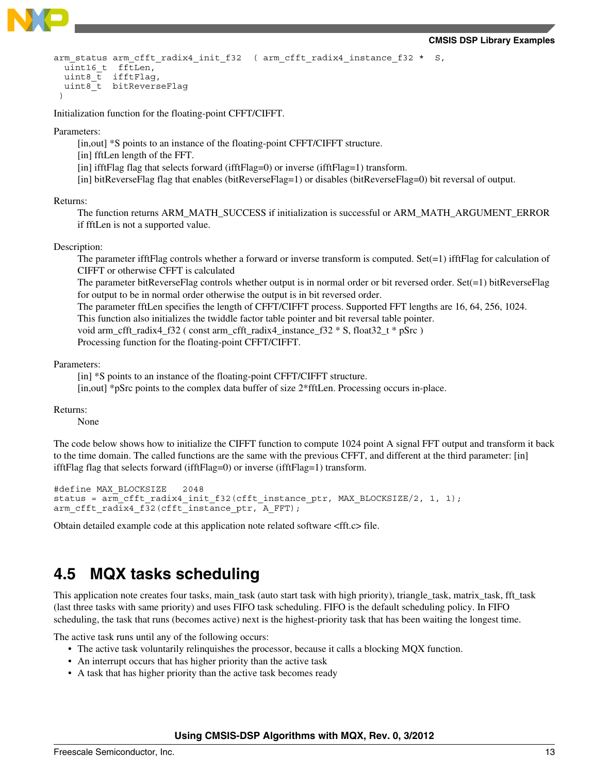

```
arm_status arm_cfft_radix4_init_f32 ( arm_cfft_radix4_instance_f32 * S,
 uint16 t fftLen,
  uint8 t ifftFlag,
 uint8<sup>-</sup>t bitReverseFlag
 )
```
Initialization function for the floating-point CFFT/CIFFT.

Parameters:

- [in,out] \*S points to an instance of the floating-point CFFT/CIFFT structure.
- [in] fftLen length of the FFT.
- [in] ifftFlag flag that selects forward (ifftFlag=0) or inverse (ifftFlag=1) transform.
- [in] bitReverseFlag flag that enables (bitReverseFlag=1) or disables (bitReverseFlag=0) bit reversal of output.

#### Returns:

The function returns ARM\_MATH\_SUCCESS if initialization is successful or ARM\_MATH\_ARGUMENT\_ERROR if fftLen is not a supported value.

#### Description:

The parameter ifftFlag controls whether a forward or inverse transform is computed. Set $(=1)$  ifftFlag for calculation of CIFFT or otherwise CFFT is calculated

The parameter bitReverseFlag controls whether output is in normal order or bit reversed order. Set $(=1)$  bitReverseFlag for output to be in normal order otherwise the output is in bit reversed order.

The parameter fftLen specifies the length of CFFT/CIFFT process. Supported FFT lengths are 16, 64, 256, 1024.

This function also initializes the twiddle factor table pointer and bit reversal table pointer.

void arm\_cfft\_radix4\_f32 ( const arm\_cfft\_radix4\_instance\_f32 \* S, float32\_t \* pSrc )

Processing function for the floating-point CFFT/CIFFT.

Parameters:

[in] \*S points to an instance of the floating-point CFFT/CIFFT structure.

[in,out] \*pSrc points to the complex data buffer of size 2\*fftLen. Processing occurs in-place.

Returns:

None

The code below shows how to initialize the CIFFT function to compute 1024 point A signal FFT output and transform it back to the time domain. The called functions are the same with the previous CFFT, and different at the third parameter: [in] ifftFlag flag that selects forward (ifftFlag=0) or inverse (ifftFlag=1) transform.

```
#define MAX_BLOCKSIZE 2048
status = arm_cfft_radix4_init_f32(cfft_instance_ptr, MAX_BLOCKSIZE/2, 1, 1);
arm cfft radix4 f32(cfft instance ptr, A FFT);
```
Obtain detailed example code at this application note related software <fft.c> file.

### **4.5 MQX tasks scheduling**

This application note creates four tasks, main\_task (auto start task with high priority), triangle\_task, matrix\_task, fft\_task (last three tasks with same priority) and uses FIFO task scheduling. FIFO is the default scheduling policy. In FIFO scheduling, the task that runs (becomes active) next is the highest-priority task that has been waiting the longest time.

The active task runs until any of the following occurs:

- The active task voluntarily relinquishes the processor, because it calls a blocking MQX function.
- An interrupt occurs that has higher priority than the active task
- A task that has higher priority than the active task becomes ready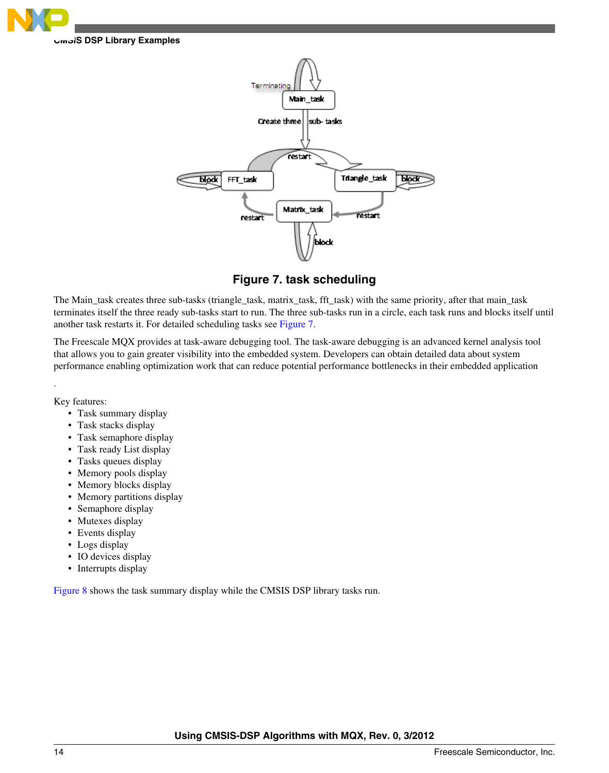



**Figure 7. task scheduling**

The Main\_task creates three sub-tasks (triangle\_task, matrix\_task, fft\_task) with the same priority, after that main\_task terminates itself the three ready sub-tasks start to run. The three sub-tasks run in a circle, each task runs and blocks itself until another task restarts it. For detailed scheduling tasks see Figure 7.

The Freescale MQX provides at task-aware debugging tool. The task-aware debugging is an advanced kernel analysis tool that allows you to gain greater visibility into the embedded system. Developers can obtain detailed data about system performance enabling optimization work that can reduce potential performance bottlenecks in their embedded application

Key features:

.

- Task summary display
- Task stacks display
- Task semaphore display
- Task ready List display
- Tasks queues display
- Memory pools display
- Memory blocks display
- Memory partitions display
- Semaphore display
- Mutexes display
- Events display
- Logs display
- IO devices display
- Interrupts display

[Figure 8](#page-14-0) shows the task summary display while the CMSIS DSP library tasks run.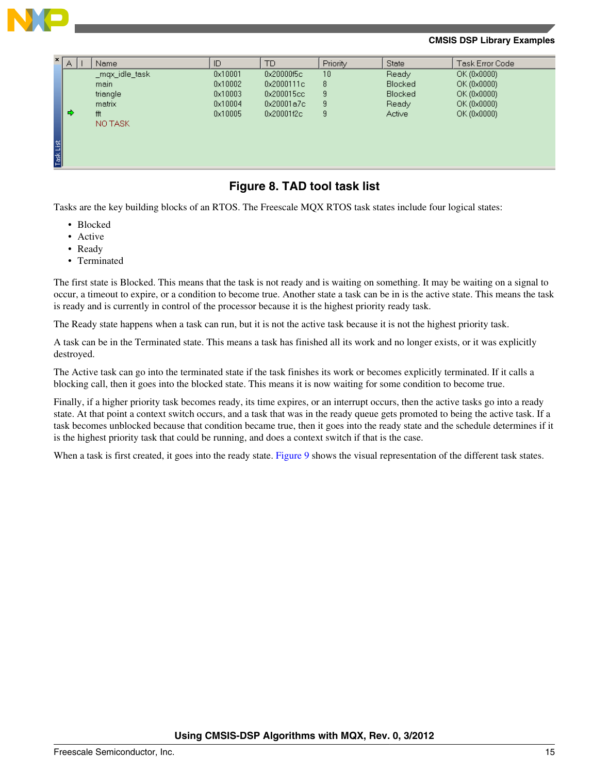<span id="page-14-0"></span>

| x         | A | Name           | ID      | TD         | Priority | <b>State</b>   | Task Error Code |
|-----------|---|----------------|---------|------------|----------|----------------|-----------------|
|           |   | _mqx_idle_task | 0x10001 | 0x20000f5c | 10       | Ready          | OK (0x0000)     |
|           |   | main           | 0x10002 | 0x2000111c | 8        | <b>Blocked</b> | OK (0x0000)     |
|           |   | triangle       | 0x10003 | 0x200015cc | 9        | <b>Blocked</b> | OK (0x0000)     |
|           |   | matrix         | 0x10004 | 0x20001a7c | 9        | Ready          | OK (0x0000)     |
|           | ⇨ | fft            | 0x10005 | 0x20001f2c | 9        | Active         | OK (0x0000)     |
|           |   | NO TASK        |         |            |          |                |                 |
|           |   |                |         |            |          |                |                 |
| Task List |   |                |         |            |          |                |                 |
|           |   |                |         |            |          |                |                 |
|           |   |                |         |            |          |                |                 |
|           |   |                |         |            |          |                |                 |

### **Figure 8. TAD tool task list**

Tasks are the key building blocks of an RTOS. The Freescale MQX RTOS task states include four logical states:

- Blocked
- Active
- Ready
- Terminated

The first state is Blocked. This means that the task is not ready and is waiting on something. It may be waiting on a signal to occur, a timeout to expire, or a condition to become true. Another state a task can be in is the active state. This means the task is ready and is currently in control of the processor because it is the highest priority ready task.

The Ready state happens when a task can run, but it is not the active task because it is not the highest priority task.

A task can be in the Terminated state. This means a task has finished all its work and no longer exists, or it was explicitly destroyed.

The Active task can go into the terminated state if the task finishes its work or becomes explicitly terminated. If it calls a blocking call, then it goes into the blocked state. This means it is now waiting for some condition to become true.

Finally, if a higher priority task becomes ready, its time expires, or an interrupt occurs, then the active tasks go into a ready state. At that point a context switch occurs, and a task that was in the ready queue gets promoted to being the active task. If a task becomes unblocked because that condition became true, then it goes into the ready state and the schedule determines if it is the highest priority task that could be running, and does a context switch if that is the case.

When a task is first created, it goes into the ready state. [Figure 9](#page-15-0) shows the visual representation of the different task states.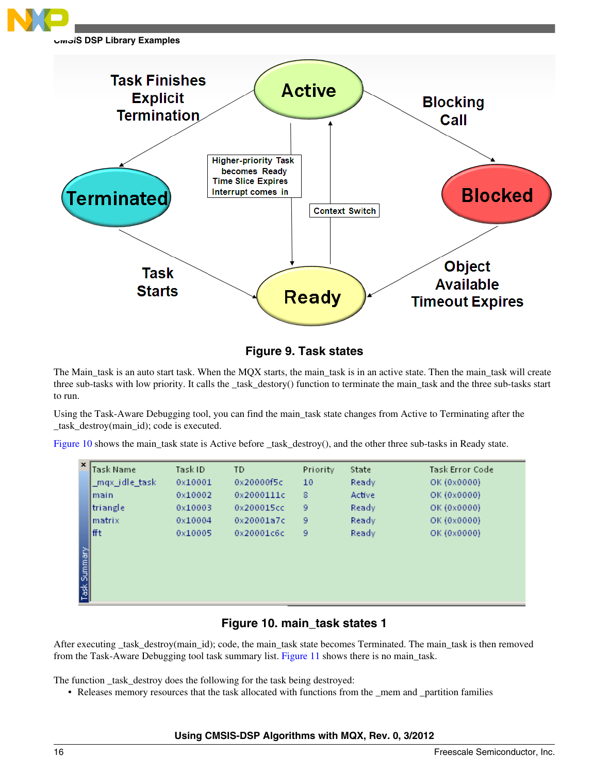<span id="page-15-0"></span>

**Figure 9. Task states**

The Main\_task is an auto start task. When the MQX starts, the main\_task is in an active state. Then the main\_task will create three sub-tasks with low priority. It calls the \_task\_destory() function to terminate the main\_task and the three sub-tasks start to run.

Using the Task-Aware Debugging tool, you can find the main\_task state changes from Active to Terminating after the \_task\_destroy(main\_id); code is executed.

Figure 10 shows the main\_task state is Active before \_task\_destroy(), and the other three sub-tasks in Ready state.

| x            | lTask Name     | Task ID | TD         | Priority | State  | Task Error Code |  |
|--------------|----------------|---------|------------|----------|--------|-----------------|--|
|              | _mqx_idle_task | 0x10001 | 0x20000f5c | 10       | Ready  | OK (0x0000)     |  |
|              | lmain.         | 0x10002 | 0x2000111c | 8        | Active | OK (0x0000)     |  |
|              | triangle       | 0x10003 | 0x200015cc | 9        | Ready  | OK (0x0000)     |  |
|              | Imatrix        | 0x10004 | 0x20001a7c | 9        | Ready  | OK (0x0000)     |  |
|              | lfft           | 0x10005 | 0x20001c6c | 9        | Ready  | OK (0x0000)     |  |
|              |                |         |            |          |        |                 |  |
| Task Summary |                |         |            |          |        |                 |  |
|              |                |         |            |          |        |                 |  |
|              |                |         |            |          |        |                 |  |
|              |                |         |            |          |        |                 |  |

### **Figure 10. main\_task states 1**

After executing \_task\_destroy(main\_id); code, the main\_task state becomes Terminated. The main\_task is then removed from the Task-Aware Debugging tool task summary list. [Figure 11](#page-16-0) shows there is no main\_task.

The function \_task\_destroy does the following for the task being destroyed:

• Releases memory resources that the task allocated with functions from the \_mem and \_partition families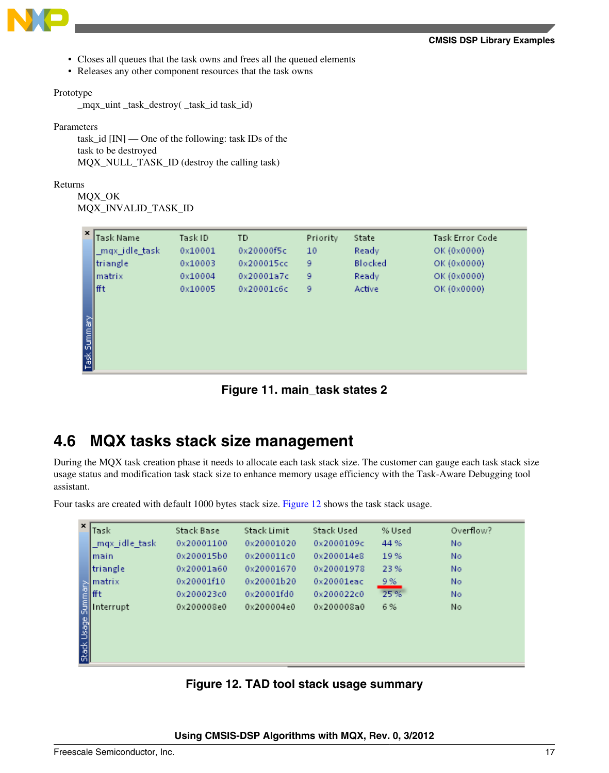- <span id="page-16-0"></span>• Closes all queues that the task owns and frees all the queued elements
- Releases any other component resources that the task owns

#### Prototype

\_mqx\_uint \_task\_destroy( \_task\_id task\_id)

Parameters

task  $id$  [IN] — One of the following: task IDs of the task to be destroyed MQX\_NULL\_TASK\_ID (destroy the calling task)

Returns

MQX\_OK MQX\_INVALID\_TASK\_ID

| $\mathbf{x}$ | Task Name      | Task ID | TD         | Priority | State   | Task Error Code |
|--------------|----------------|---------|------------|----------|---------|-----------------|
|              | _mqx_idle_task | 0x10001 | 0x20000f5c | 10       | Ready   | OK (0x0000)     |
|              | triangle       | 0x10003 | 0x200015cc | 9        | Blocked | OK (0x0000)     |
|              | Imatrix        | 0x10004 | 0x20001a7c | 9        | Ready   | OK (0x0000)     |
|              | lfft           | 0x10005 | 0x20001c6c | 9        | Active  | OK (0x0000)     |
|              |                |         |            |          |         |                 |
|              |                |         |            |          |         |                 |
| Task Summary |                |         |            |          |         |                 |
|              |                |         |            |          |         |                 |
|              |                |         |            |          |         |                 |
|              |                |         |            |          |         |                 |

**Figure 11. main\_task states 2**

### **4.6 MQX tasks stack size management**

During the MQX task creation phase it needs to allocate each task stack size. The customer can gauge each task stack size usage status and modification task stack size to enhance memory usage efficiency with the Task-Aware Debugging tool assistant.

Four tasks are created with default 1000 bytes stack size. Figure 12 shows the task stack usage.

| $\mathbf{x}$        | Task           | Stack Base | Stack Limit | Stack Used    | % Used | Overflow? |  |
|---------------------|----------------|------------|-------------|---------------|--------|-----------|--|
|                     | _mqx_idle_task | 0x20001100 | 0x20001020  | 0x2000109c    | 44 %   | No.       |  |
|                     | lmain          | 0x200015b0 | 0x200011c0  | 0x200014e8    | 19%    | No        |  |
|                     | ltriangle      | 0x20001a60 | 0x20001670  | 0x20001978    | 23%    | No        |  |
|                     | matrix         | 0x20001f10 | 0x20001b20  | $0x20001ea$ c | 9%     | No        |  |
|                     | fft            | 0x200023c0 | 0x20001fd0  | 0x200022c0    | 25%    | No        |  |
|                     | Interrupt      | 0x200008e0 | 0x200004e0  | 0x200008a0    | 6 %    | No        |  |
| Stack Usage Summary |                |            |             |               |        |           |  |
|                     |                |            |             |               |        |           |  |
|                     |                |            |             |               |        |           |  |
|                     |                |            |             |               |        |           |  |

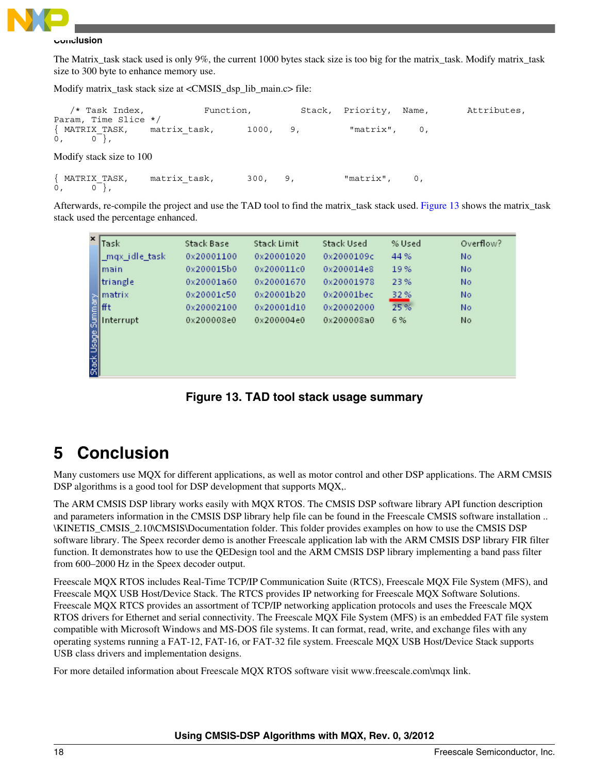<span id="page-17-0"></span>

#### **Conclusion**

The Matrix\_task stack used is only 9%, the current 1000 bytes stack size is too big for the matrix\_task. Modify matrix\_task size to 300 byte to enhance memory use.

Modify matrix\_task stack size at <CMSIS\_dsp\_lib\_main.c> file:

 /\* Task Index, Function, Stack, Priority, Name, Attributes, Param, Time Slice \*/  $\{$  MATRIX TASK, matrix task, 1000, 9, "matrix", 0,  $0, 0,$ Modify stack size to 100 { MATRIX\_TASK, matrix\_task, 300, 9, "matrix", 0,  $0, 0,$ 

Afterwards, re-compile the project and use the TAD tool to find the matrix\_task stack used. Figure 13 shows the matrix\_task stack used the percentage enhanced.

| $\boldsymbol{\mathsf{x}}$ | Task                                                                                                                                                                                                                                                                              | Stack Base | Stack Limit | Stack Used | % Used | Overflow? |
|---------------------------|-----------------------------------------------------------------------------------------------------------------------------------------------------------------------------------------------------------------------------------------------------------------------------------|------------|-------------|------------|--------|-----------|
|                           | _mqx_idle_task                                                                                                                                                                                                                                                                    | 0x20001100 | 0x20001020  | 0x2000109c | 44 %   | No        |
|                           | Imain                                                                                                                                                                                                                                                                             | 0x200015b0 | 0x200011c0  | 0x200014e8 | 19%    | No        |
|                           | triangle                                                                                                                                                                                                                                                                          | 0x20001a60 | 0x20001670  | 0x20001978 | 23%    | No        |
|                           |                                                                                                                                                                                                                                                                                   | 0x20001c50 | 0x20001b20  | 0x20001bec | 32%    | No        |
|                           |                                                                                                                                                                                                                                                                                   | 0x20002100 | 0x20001d10  | 0x20002000 | 25%    | No        |
|                           | Interrupt                                                                                                                                                                                                                                                                         | 0x200008e0 | 0x200004e0  | 0x200008a0 | 6 %    | No        |
|                           | Anatrix<br>The End Internal<br>Second<br>The Second<br>The Second<br>The Second<br>Second<br>Second<br>Second<br>Second<br>Second<br>Second<br>Second<br>Second<br>Second<br>Second<br>Second<br>Second<br>Second<br>Second<br>Second<br>Second<br>Second<br>Second<br>Second<br> |            |             |            |        |           |
|                           |                                                                                                                                                                                                                                                                                   |            |             |            |        |           |
|                           |                                                                                                                                                                                                                                                                                   |            |             |            |        |           |
|                           |                                                                                                                                                                                                                                                                                   |            |             |            |        |           |

**Figure 13. TAD tool stack usage summary**

# **5 Conclusion**

Many customers use MQX for different applications, as well as motor control and other DSP applications. The ARM CMSIS DSP algorithms is a good tool for DSP development that supports MQX,.

The ARM CMSIS DSP library works easily with MQX RTOS. The CMSIS DSP software library API function description and parameters information in the CMSIS DSP library help file can be found in the Freescale CMSIS software installation .. \KINETIS\_CMSIS\_2.10\CMSIS\Documentation folder. This folder provides examples on how to use the CMSIS DSP software library. The Speex recorder demo is another Freescale application lab with the ARM CMSIS DSP library FIR filter function. It demonstrates how to use the QEDesign tool and the ARM CMSIS DSP library implementing a band pass filter from 600–2000 Hz in the Speex decoder output.

Freescale MQX RTOS includes Real-Time TCP/IP Communication Suite (RTCS), Freescale MQX File System (MFS), and Freescale MQX USB Host/Device Stack. The RTCS provides IP networking for Freescale MQX Software Solutions. Freescale MQX RTCS provides an assortment of TCP/IP networking application protocols and uses the Freescale MQX RTOS drivers for Ethernet and serial connectivity. The Freescale MQX File System (MFS) is an embedded FAT file system compatible with Microsoft Windows and MS-DOS file systems. It can format, read, write, and exchange files with any operating systems running a FAT-12, FAT-16, or FAT-32 file system. Freescale MQX USB Host/Device Stack supports USB class drivers and implementation designs.

For more detailed information about Freescale MQX RTOS software visit www.freescale.com\mqx link.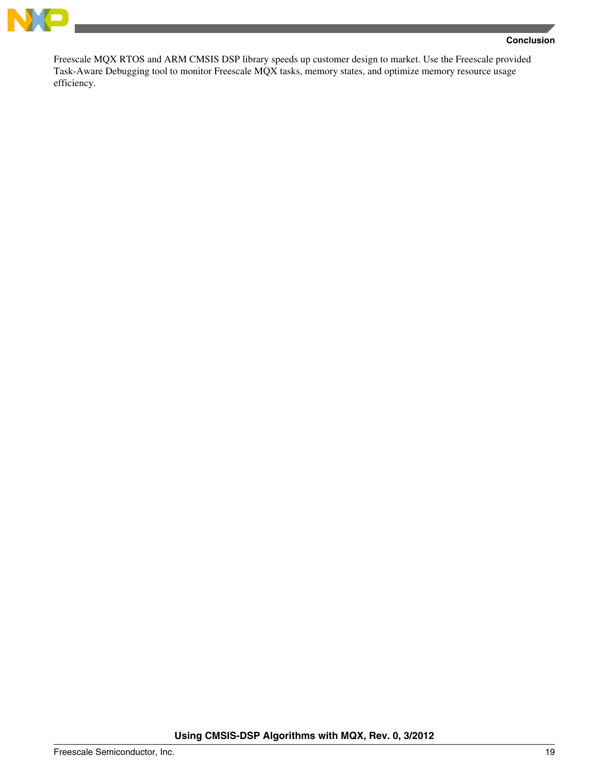

Freescale MQX RTOS and ARM CMSIS DSP library speeds up customer design to market. Use the Freescale provided Task-Aware Debugging tool to monitor Freescale MQX tasks, memory states, and optimize memory resource usage efficiency.